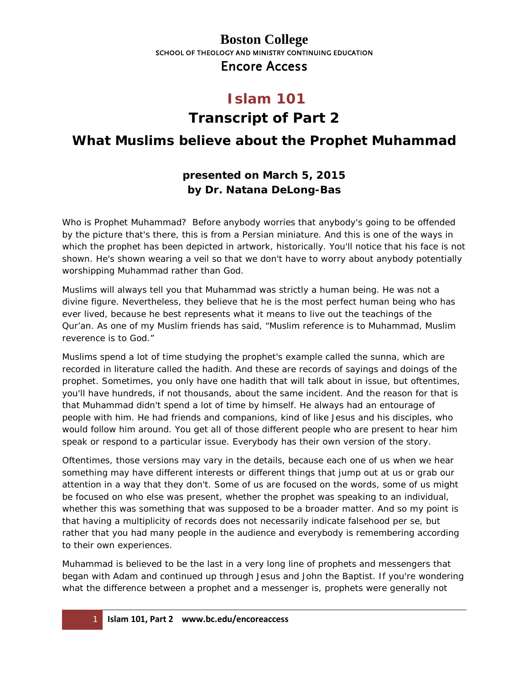#### **Boston College** SCHOOL OF THEOLOGY AND MINISTRY CONTINUING EDUCATION Encore Access

### **Islam 101 Transcript of Part 2**

### **What Muslims believe about the Prophet Muhammad**

#### **presented on March 5, 2015 by Dr. Natana DeLong-Bas**

Who is Prophet Muhammad? Before anybody worries that anybody's going to be offended by the picture that's there, this is from a Persian miniature. And this is one of the ways in which the prophet has been depicted in artwork, historically. You'll notice that his face is not shown. He's shown wearing a veil so that we don't have to worry about anybody potentially worshipping Muhammad rather than God.

Muslims will always tell you that Muhammad was strictly a human being. He was not a divine figure. Nevertheless, they believe that he is the most perfect human being who has ever lived, because he best represents what it means to live out the teachings of the Qur'an. As one of my Muslim friends has said, "Muslim reference is to Muhammad, Muslim reverence is to God."

Muslims spend a lot of time studying the prophet's example called the *sunna*, which are recorded in literature called the *hadith*. And these are records of sayings and doings of the prophet. Sometimes, you only have one hadith that will talk about in issue, but oftentimes, you'll have hundreds, if not thousands, about the same incident. And the reason for that is that Muhammad didn't spend a lot of time by himself. He always had an entourage of people with him. He had friends and companions, kind of like Jesus and his disciples, who would follow him around. You get all of those different people who are present to hear him speak or respond to a particular issue. Everybody has their own version of the story.

Oftentimes, those versions may vary in the details, because each one of us when we hear something may have different interests or different things that jump out at us or grab our attention in a way that they don't. Some of us are focused on the words, some of us might be focused on who else was present, whether the prophet was speaking to an individual, whether this was something that was supposed to be a broader matter. And so my point is that having a multiplicity of records does not necessarily indicate falsehood per se, but rather that you had many people in the audience and everybody is remembering according to their own experiences.

Muhammad is believed to be the last in a very long line of prophets and messengers that began with Adam and continued up through Jesus and John the Baptist. If you're wondering what the difference between a prophet and a messenger is, prophets were generally not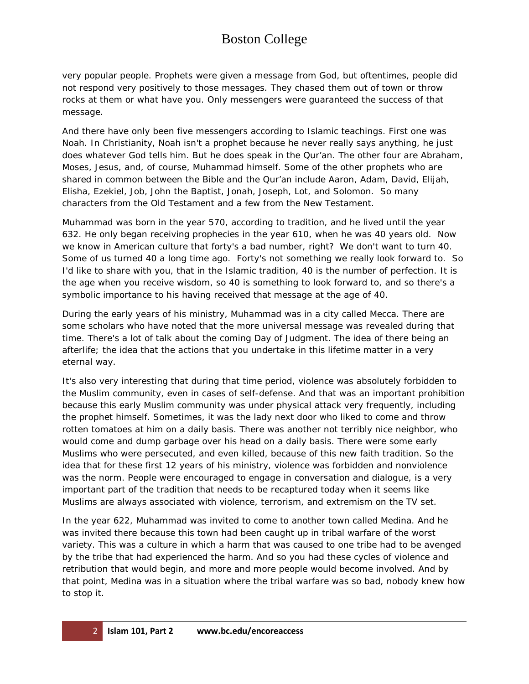# Boston College

very popular people. Prophets were given a message from God, but oftentimes, people did not respond very positively to those messages. They chased them out of town or throw rocks at them or what have you. Only messengers were guaranteed the success of that message.

And there have only been five messengers according to Islamic teachings. First one was Noah. In Christianity, Noah isn't a prophet because he never really says anything, he just does whatever God tells him. But he does speak in the Qur'an. The other four are Abraham, Moses, Jesus, and, of course, Muhammad himself. Some of the other prophets who are shared in common between the Bible and the Qur'an include Aaron, Adam, David, Elijah, Elisha, Ezekiel, Job, John the Baptist, Jonah, Joseph, Lot, and Solomon. So many characters from the Old Testament and a few from the New Testament.

Muhammad was born in the year 570, according to tradition, and he lived until the year 632. He only began receiving prophecies in the year 610, when he was 40 years old. Now we know in American culture that forty's a bad number, right? We don't want to turn 40. Some of us turned 40 a long time ago. Forty's not something we really look forward to. So I'd like to share with you, that in the Islamic tradition, 40 is the number of perfection. It is the age when you receive wisdom, so 40 is something to look forward to, and so there's a symbolic importance to his having received that message at the age of 40.

During the early years of his ministry, Muhammad was in a city called Mecca. There are some scholars who have noted that the more universal message was revealed during that time. There's a lot of talk about the coming Day of Judgment. The idea of there being an afterlife; the idea that the actions that you undertake in this lifetime matter in a very eternal way.

It's also very interesting that during that time period, violence was absolutely forbidden to the Muslim community, even in cases of self-defense. And that was an important prohibition because this early Muslim community was under physical attack very frequently, including the prophet himself. Sometimes, it was the lady next door who liked to come and throw rotten tomatoes at him on a daily basis. There was another not terribly nice neighbor, who would come and dump garbage over his head on a daily basis. There were some early Muslims who were persecuted, and even killed, because of this new faith tradition. So the idea that for these first 12 years of his ministry, violence was forbidden and nonviolence was the norm. People were encouraged to engage in conversation and dialogue, is a very important part of the tradition that needs to be recaptured today when it seems like Muslims are always associated with violence, terrorism, and extremism on the TV set.

In the year 622, Muhammad was invited to come to another town called Medina. And he was invited there because this town had been caught up in tribal warfare of the worst variety. This was a culture in which a harm that was caused to one tribe had to be avenged by the tribe that had experienced the harm. And so you had these cycles of violence and retribution that would begin, and more and more people would become involved. And by that point, Medina was in a situation where the tribal warfare was so bad, nobody knew how to stop it.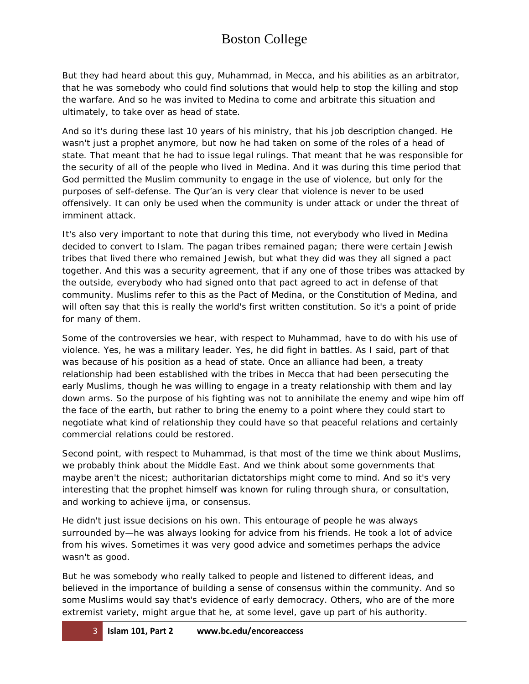# Boston College

But they had heard about this guy, Muhammad, in Mecca, and his abilities as an arbitrator, that he was somebody who could find solutions that would help to stop the killing and stop the warfare. And so he was invited to Medina to come and arbitrate this situation and ultimately, to take over as head of state.

And so it's during these last 10 years of his ministry, that his job description changed. He wasn't just a prophet anymore, but now he had taken on some of the roles of a head of state. That meant that he had to issue legal rulings. That meant that he was responsible for the security of all of the people who lived in Medina. And it was during this time period that God permitted the Muslim community to engage in the use of violence, but only for the purposes of self-defense. The Qur'an is very clear that violence is never to be used offensively. It can only be used when the community is under attack or under the threat of imminent attack.

It's also very important to note that during this time, not everybody who lived in Medina decided to convert to Islam. The pagan tribes remained pagan; there were certain Jewish tribes that lived there who remained Jewish, but what they did was they all signed a pact together. And this was a security agreement, that if any one of those tribes was attacked by the outside, everybody who had signed onto that pact agreed to act in defense of that community. Muslims refer to this as the Pact of Medina, or the Constitution of Medina, and will often say that this is really the world's first written constitution. So it's a point of pride for many of them.

Some of the controversies we hear, with respect to Muhammad, have to do with his use of violence. Yes, he was a military leader. Yes, he did fight in battles. As I said, part of that was because of his position as a head of state. Once an alliance had been, a treaty relationship had been established with the tribes in Mecca that had been persecuting the early Muslims, though he was willing to engage in a treaty relationship with them and lay down arms. So the purpose of his fighting was not to annihilate the enemy and wipe him off the face of the earth, but rather to bring the enemy to a point where they could start to negotiate what kind of relationship they could have so that peaceful relations and certainly commercial relations could be restored.

Second point, with respect to Muhammad, is that most of the time we think about Muslims, we probably think about the Middle East. And we think about some governments that maybe aren't the nicest; authoritarian dictatorships might come to mind. And so it's very interesting that the prophet himself was known for ruling through *shura*, or consultation, and working to achieve *ijma*, or consensus.

He didn't just issue decisions on his own. This entourage of people he was always surrounded by—he was always looking for advice from his friends. He took a lot of advice from his wives. Sometimes it was very good advice and sometimes perhaps the advice wasn't as good.

But he was somebody who really talked to people and listened to different ideas, and believed in the importance of building a sense of consensus within the community. And so some Muslims would say that's evidence of early democracy. Others, who are of the more extremist variety, might argue that he, at some level, gave up part of his authority.